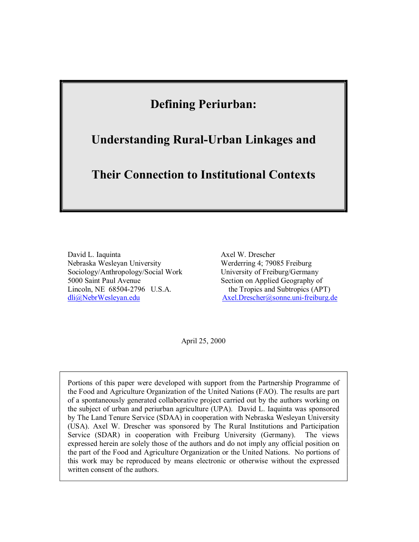# **Defining Periurban:**

# **Understanding Rural-Urban Linkages and**

# **Their Connection to Institutional Contexts**

David L. Iaquinta Nebraska Wesleyan University Sociology/Anthropology/Social Work 5000 Saint Paul Avenue Lincoln, NE 68504-2796 U.S.A. [dli@NebrWesleyan.edu](mailto:dli@NebrWesleyan.edu)

Axel W. Drescher Werderring 4; 79085 Freiburg University of Freiburg/Germany Section on Applied Geography of the Tropics and Subtropics (APT) Axel.Drescher@sonne.uni-freiburg.de

April 25, 2000

Portions of this paper were developed with support from the Partnership Programme of the Food and Agriculture Organization of the United Nations (FAO). The results are part of a spontaneously generated collaborative project carried out by the authors working on the subject of urban and periurban agriculture (UPA). David L. Iaquinta was sponsored by The Land Tenure Service (SDAA) in cooperation with Nebraska Wesleyan University (USA). Axel W. Drescher was sponsored by The Rural Institutions and Participation Service (SDAR) in cooperation with Freiburg University (Germany). The views expressed herein are solely those of the authors and do not imply any official position on the part of the Food and Agriculture Organization or the United Nations. No portions of this work may be reproduced by means electronic or otherwise without the expressed written consent of the authors.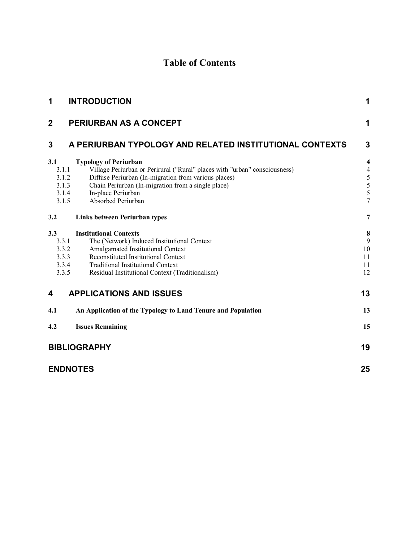## **Table of Contents**

| 1                                                | <b>INTRODUCTION</b>                                                                                                                                                                                                                                                  | 1                                       |  |  |  |  |
|--------------------------------------------------|----------------------------------------------------------------------------------------------------------------------------------------------------------------------------------------------------------------------------------------------------------------------|-----------------------------------------|--|--|--|--|
| $\mathbf{2}$                                     | PERIURBAN AS A CONCEPT                                                                                                                                                                                                                                               | 1                                       |  |  |  |  |
| 3                                                | A PERIURBAN TYPOLOGY AND RELATED INSTITUTIONAL CONTEXTS                                                                                                                                                                                                              |                                         |  |  |  |  |
| 3.1<br>3.1.1<br>3.1.2<br>3.1.3<br>3.1.4<br>3.1.5 | <b>Typology of Periurban</b><br>Village Periurban or Perirural ("Rural" places with "urban" consciousness)<br>Diffuse Periurban (In-migration from various places)<br>Chain Periurban (In-migration from a single place)<br>In-place Periurban<br>Absorbed Periurban | 4<br>$\overline{4}$<br>5<br>5<br>5<br>7 |  |  |  |  |
| 3.2                                              | <b>Links between Periurban types</b>                                                                                                                                                                                                                                 | 7                                       |  |  |  |  |
| 3.3<br>3.3.1<br>3.3.2<br>3.3.3<br>3.3.4<br>3.3.5 | <b>Institutional Contexts</b><br>The (Network) Induced Institutional Context<br>Amalgamated Institutional Context<br>Reconstituted Institutional Context<br><b>Traditional Institutional Context</b><br>Residual Institutional Context (Traditionalism)              | 8<br>9<br>10<br>11<br>11<br>12          |  |  |  |  |
| 4                                                | <b>APPLICATIONS AND ISSUES</b>                                                                                                                                                                                                                                       | 13                                      |  |  |  |  |
| 4.1                                              | An Application of the Typology to Land Tenure and Population                                                                                                                                                                                                         | 13                                      |  |  |  |  |
| 4.2                                              | <b>Issues Remaining</b>                                                                                                                                                                                                                                              | 15                                      |  |  |  |  |
| <b>BIBLIOGRAPHY</b>                              |                                                                                                                                                                                                                                                                      |                                         |  |  |  |  |
|                                                  | <b>ENDNOTES</b>                                                                                                                                                                                                                                                      | 25                                      |  |  |  |  |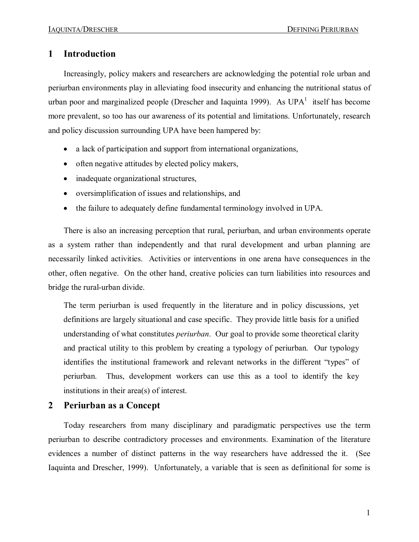### **1 Introduction**

Increasingly, policy makers and researchers are acknowledging the potential role urban and periurban environments play in alleviating food insecurity and enhancing the nutritional status of urban poor and marginalized people (Drescher and Iaquinta 1999). As  $UPA<sup>1</sup>$  itself has become more prevalent, so too has our awareness of its potential and limitations. Unfortunately, research and policy discussion surrounding UPA have been hampered by:

- a lack of participation and support from international organizations,
- often negative attitudes by elected policy makers,
- inadequate organizational structures,
- · oversimplification of issues and relationships, and
- the failure to adequately define fundamental terminology involved in UPA.

There is also an increasing perception that rural, periurban, and urban environments operate as a system rather than independently and that rural development and urban planning are necessarily linked activities. Activities or interventions in one arena have consequences in the other, often negative. On the other hand, creative policies can turn liabilities into resources and bridge the rural-urban divide.

The term periurban is used frequently in the literature and in policy discussions, yet definitions are largely situational and case specific. They provide little basis for a unified understanding of what constitutes *periurban*. Our goal to provide some theoretical clarity and practical utility to this problem by creating a typology of periurban. Our typology identifies the institutional framework and relevant networks in the different "types" of periurban. Thus, development workers can use this as a tool to identify the key institutions in their area(s) of interest.

### **2 Periurban as a Concept**

Today researchers from many disciplinary and paradigmatic perspectives use the term periurban to describe contradictory processes and environments. Examination of the literature evidences a number of distinct patterns in the way researchers have addressed the it. (See Iaquinta and Drescher, 1999). Unfortunately, a variable that is seen as definitional for some is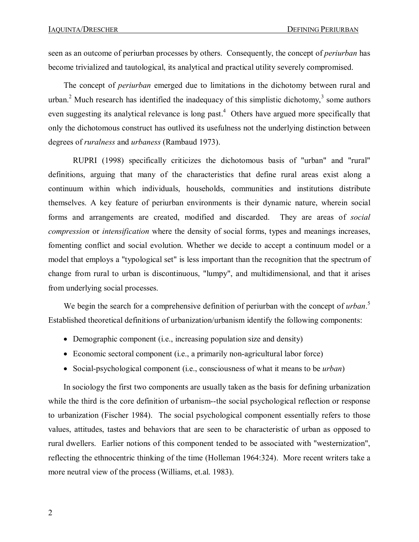seen as an outcome of periurban processes by others. Consequently, the concept of *periurban* has become trivialized and tautological, its analytical and practical utility severely compromised.

The concept of *periurban* emerged due to limitations in the dichotomy between rural and urban.<sup>2</sup> Much research has identified the inadequacy of this simplistic dichotomy,<sup>3</sup> some authors even suggesting its analytical relevance is long past.<sup>4</sup> Others have argued more specifically that only the dichotomous construct has outlived its usefulness not the underlying distinction between degrees of *ruralness* and *urbaness* (Rambaud 1973).

RUPRI (1998) specifically criticizes the dichotomous basis of "urban" and "rural" definitions, arguing that many of the characteristics that define rural areas exist along a continuum within which individuals, households, communities and institutions distribute themselves. A key feature of periurban environments is their dynamic nature, wherein social forms and arrangements are created, modified and discarded. They are areas of *social compression* or *intensification* where the density of social forms, types and meanings increases, fomenting conflict and social evolution. Whether we decide to accept a continuum model or a model that employs a "typological set" is less important than the recognition that the spectrum of change from rural to urban is discontinuous, "lumpy", and multidimensional, and that it arises from underlying social processes.

We begin the search for a comprehensive definition of periurban with the concept of *urban*.<sup>5</sup> Established theoretical definitions of urbanization/urbanism identify the following components:

- Demographic component (i.e., increasing population size and density)
- Economic sectoral component (i.e., a primarily non-agricultural labor force)
- Social-psychological component (i.e., consciousness of what it means to be *urban*)

In sociology the first two components are usually taken as the basis for defining urbanization while the third is the core definition of urbanism--the social psychological reflection or response to urbanization (Fischer 1984). The social psychological component essentially refers to those values, attitudes, tastes and behaviors that are seen to be characteristic of urban as opposed to rural dwellers. Earlier notions of this component tended to be associated with "westernization", reflecting the ethnocentric thinking of the time (Holleman 1964:324). More recent writers take a more neutral view of the process (Williams, et.al. 1983).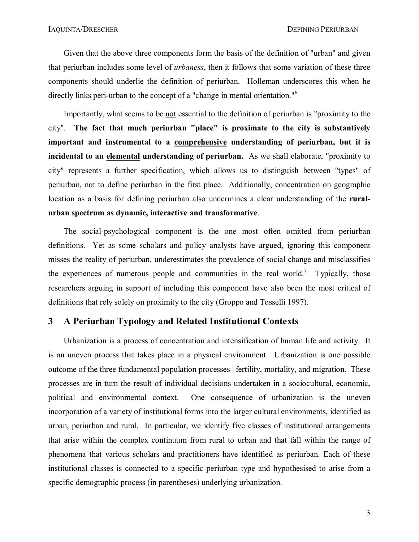Given that the above three components form the basis of the definition of "urban" and given that periurban includes some level of *urbaness*, then it follows that some variation of these three components should underlie the definition of periurban. Holleman underscores this when he directly links peri-urban to the concept of a "change in mental orientation."<sup>6</sup>

Importantly, what seems to be not essential to the definition of periurban is "proximity to the city". **The fact that much periurban "place" is proximate to the city is substantively important and instrumental to a comprehensive understanding of periurban, but it is incidental to an elemental understanding of periurban.** As we shall elaborate, "proximity to city" represents a further specification, which allows us to distinguish between "types" of periurban, not to define periurban in the first place. Additionally, concentration on geographic location as a basis for defining periurban also undermines a clear understanding of the **ruralurban spectrum as dynamic, interactive and transformative**.

The social-psychological component is the one most often omitted from periurban definitions. Yet as some scholars and policy analysts have argued, ignoring this component misses the reality of periurban, underestimates the prevalence of social change and misclassifies the experiences of numerous people and communities in the real world.<sup>7</sup> Typically, those researchers arguing in support of including this component have also been the most critical of definitions that rely solely on proximity to the city (Groppo and Tosselli 1997).

## **3 A Periurban Typology and Related Institutional Contexts**

Urbanization is a process of concentration and intensification of human life and activity. It is an uneven process that takes place in a physical environment. Urbanization is one possible outcome of the three fundamental population processes-fertility, mortality, and migration. These processes are in turn the result of individual decisions undertaken in a sociocultural, economic, political and environmental context. One consequence of urbanization is the uneven incorporation of a variety of institutional forms into the larger cultural environments, identified as urban, periurban and rural. In particular, we identify five classes of institutional arrangements that arise within the complex continuum from rural to urban and that fall within the range of phenomena that various scholars and practitioners have identified as periurban. Each of these institutional classes is connected to a specific periurban type and hypothesised to arise from a specific demographic process (in parentheses) underlying urbanization.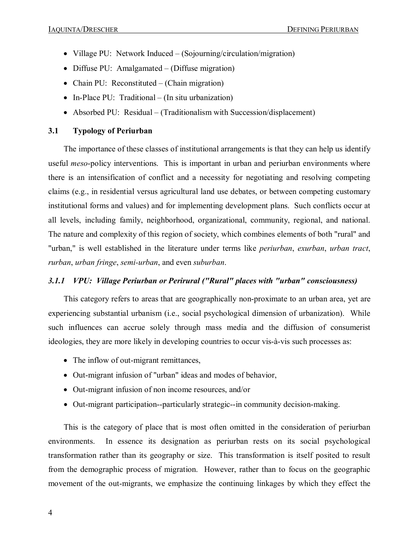- Village PU: Network Induced (Sojourning/circulation/migration)
- Diffuse PU: Amalgamated (Diffuse migration)
- Chain PU: Reconstituted (Chain migration)
- In-Place PU: Traditional (In situ urbanization)
- Absorbed PU: Residual (Traditionalism with Succession/displacement)

### **3.1 Typology of Periurban**

The importance of these classes of institutional arrangements is that they can help us identify useful *meso*-policy interventions. This is important in urban and periurban environments where there is an intensification of conflict and a necessity for negotiating and resolving competing claims (e.g., in residential versus agricultural land use debates, or between competing customary institutional forms and values) and for implementing development plans. Such conflicts occur at all levels, including family, neighborhood, organizational, community, regional, and national. The nature and complexity of this region of society, which combines elements of both "rural" and "urban," is well established in the literature under terms like *periurban*, *exurban*, *urban tract*, *rurban*, *urban fringe*, *semi-urban*, and even *suburban*.

#### *3.1.1 VPU: Village Periurban or Perirural ("Rural" places with "urban" consciousness)*

This category refers to areas that are geographically non-proximate to an urban area, yet are experiencing substantial urbanism (i.e., social psychological dimension of urbanization). While such influences can accrue solely through mass media and the diffusion of consumerist ideologies, they are more likely in developing countries to occur vis-à-vis such processes as:

- The inflow of out-migrant remittances,
- Out-migrant infusion of "urban" ideas and modes of behavior,
- Out-migrant infusion of non income resources, and/or
- Out-migrant participation--particularly strategic--in community decision-making.

This is the category of place that is most often omitted in the consideration of periurban environments. In essence its designation as periurban rests on its social psychological transformation rather than its geography or size. This transformation is itself posited to result from the demographic process of migration. However, rather than to focus on the geographic movement of the out-migrants, we emphasize the continuing linkages by which they effect the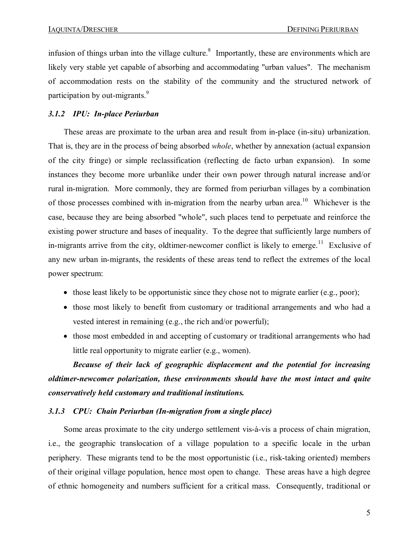infusion of things urban into the village culture.<sup>8</sup> Importantly, these are environments which are likely very stable yet capable of absorbing and accommodating "urban values". The mechanism of accommodation rests on the stability of the community and the structured network of participation by out-migrants. $9$ 

#### *3.1.2 IPU: Inplace Periurban*

These areas are proximate to the urban area and result from in-place (in-situ) urbanization. That is, they are in the process of being absorbed *whole*, whether by annexation (actual expansion of the city fringe) or simple reclassification (reflecting de facto urban expansion). In some instances they become more urbanlike under their own power through natural increase and/or rural in-migration. More commonly, they are formed from periurban villages by a combination of those processes combined with in-migration from the nearby urban area.<sup>10</sup> Whichever is the case, because they are being absorbed "whole", such places tend to perpetuate and reinforce the existing power structure and bases of inequality. To the degree that sufficiently large numbers of in-migrants arrive from the city, oldtimer-newcomer conflict is likely to emerge.<sup>11</sup> Exclusive of any new urban in-migrants, the residents of these areas tend to reflect the extremes of the local power spectrum:

- those least likely to be opportunistic since they chose not to migrate earlier (e.g., poor);
- those most likely to benefit from customary or traditional arrangements and who had a vested interest in remaining (e.g., the rich and/or powerful);
- those most embedded in and accepting of customary or traditional arrangements who had little real opportunity to migrate earlier (e.g., women).

*Because of their lack of geographic displacement and the potential for increasing oldtimernewcomer polarization, these environments should have the most intact and quite conservatively held customary and traditional institutions.*

#### *3.1.3 CPU: Chain Periurban (Inmigration from a single place)*

Some areas proximate to the city undergo settlement vis-à-vis a process of chain migration, i.e., the geographic translocation of a village population to a specific locale in the urban periphery. These migrants tend to be the most opportunistic (i.e., risk-taking oriented) members of their original village population, hence most open to change. These areas have a high degree of ethnic homogeneity and numbers sufficient for a critical mass. Consequently, traditional or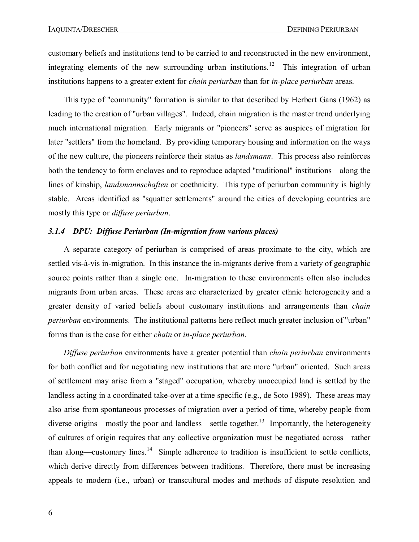customary beliefs and institutions tend to be carried to and reconstructed in the new environment, integrating elements of the new surrounding urban institutions.<sup>12</sup> This integration of urban institutions happens to a greater extent for *chain periurban* than for *in-place periurban* areas.

This type of "community" formation is similar to that described by Herbert Gans (1962) as leading to the creation of "urban villages". Indeed, chain migration is the master trend underlying much international migration. Early migrants or "pioneers" serve as auspices of migration for later "settlers" from the homeland. By providing temporary housing and information on the ways of the new culture, the pioneers reinforce their status as *landsmann*. This process also reinforces both the tendency to form enclaves and to reproduce adapted "traditional" institutions—along the lines of kinship, *landsmannschaften* or coethnicity. This type of periurban community is highly stable. Areas identified as "squatter settlements" around the cities of developing countries are mostly this type or *diffuse periurban*.

#### **3.1.4 DPU: Diffuse Periurban (In-migration from various places)**

A separate category of periurban is comprised of areas proximate to the city, which are settled vis-à-vis in-migration. In this instance the in-migrants derive from a variety of geographic source points rather than a single one. In-migration to these environments often also includes migrants from urban areas. These areas are characterized by greater ethnic heterogeneity and a greater density of varied beliefs about customary institutions and arrangements than *chain periurban* environments. The institutional patterns here reflect much greater inclusion of "urban" forms than is the case for either *chain* or *in-place periurban*.

*Diffuse periurban* environments have a greater potential than *chain periurban* environments for both conflict and for negotiating new institutions that are more "urban" oriented. Such areas of settlement may arise from a "staged" occupation, whereby unoccupied land is settled by the landless acting in a coordinated take-over at a time specific (e.g., de Soto 1989). These areas may also arise from spontaneous processes of migration over a period of time, whereby people from diverse origins—mostly the poor and landless—settle together.<sup>13</sup> Importantly, the heterogeneity of cultures of origin requires that any collective organization must be negotiated across—rather than along—customary lines.<sup>14</sup> Simple adherence to tradition is insufficient to settle conflicts, which derive directly from differences between traditions. Therefore, there must be increasing appeals to modern (i.e., urban) or transcultural modes and methods of dispute resolution and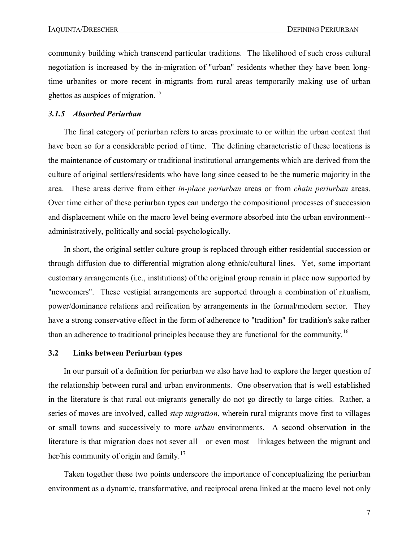community building which transcend particular traditions. The likelihood of such cross cultural negotiation is increased by the in-migration of "urban" residents whether they have been longtime urbanites or more recent in-migrants from rural areas temporarily making use of urban ghettos as auspices of migration.<sup>15</sup>

#### *3.1.5 Absorbed Periurban*

The final category of periurban refers to areas proximate to or within the urban context that have been so for a considerable period of time. The defining characteristic of these locations is the maintenance of customary or traditional institutional arrangements which are derived from the culture of original settlers/residents who have long since ceased to be the numeric majority in the area. These areas derive from either *in-place periurban* areas or from *chain periurban* areas. Over time either of these periurban types can undergo the compositional processes of succession and displacement while on the macro level being evermore absorbed into the urban environment administratively, politically and social-psychologically.

In short, the original settler culture group is replaced through either residential succession or through diffusion due to differential migration along ethnic/cultural lines. Yet, some important customary arrangements (i.e., institutions) of the original group remain in place now supported by "newcomers". These vestigial arrangements are supported through a combination of ritualism, power/dominance relations and reification by arrangements in the formal/modern sector. They have a strong conservative effect in the form of adherence to "tradition" for tradition's sake rather than an adherence to traditional principles because they are functional for the community.<sup>16</sup>

#### **3.2 Links between Periurban types**

In our pursuit of a definition for periurban we also have had to explore the larger question of the relationship between rural and urban environments. One observation that is well established in the literature is that rural out-migrants generally do not go directly to large cities. Rather, a series of moves are involved, called *step migration*, wherein rural migrants move first to villages or small towns and successively to more *urban* environments. A second observation in the literature is that migration does not sever all—or even most—linkages between the migrant and her/his community of origin and family.<sup>17</sup>

Taken together these two points underscore the importance of conceptualizing the periurban environment as a dynamic, transformative, and reciprocal arena linked at the macro level not only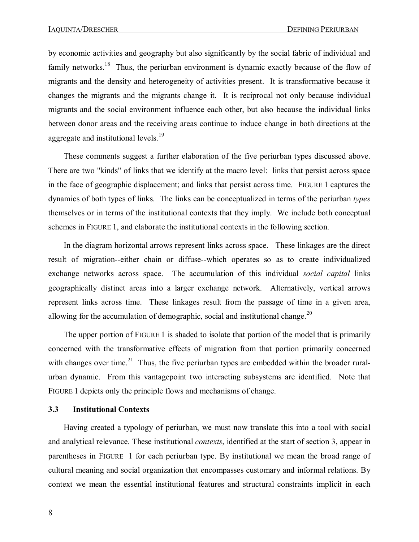by economic activities and geography but also significantly by the social fabric of individual and family networks.<sup>18</sup> Thus, the periurban environment is dynamic exactly because of the flow of migrants and the density and heterogeneity of activities present. It is transformative because it changes the migrants and the migrants change it. It is reciprocal not only because individual migrants and the social environment influence each other, but also because the individual links between donor areas and the receiving areas continue to induce change in both directions at the aggregate and institutional levels.<sup>19</sup>

These comments suggest a further elaboration of the five periurban types discussed above. There are two "kinds" of links that we identify at the macro level: links that persist across space in the face of geographic displacement; and links that persist across time. FIGURE 1 captures the dynamics of both types of links. The links can be conceptualized in terms of the periurban *types* themselves or in terms of the institutional contexts that they imply. We include both conceptual schemes in FIGURE 1, and elaborate the institutional contexts in the following section.

In the diagram horizontal arrows represent links across space. These linkages are the direct result of migration--either chain or diffuse--which operates so as to create individualized exchange networks across space. The accumulation of this individual *social capital* links geographically distinct areas into a larger exchange network. Alternatively, vertical arrows represent links across time. These linkages result from the passage of time in a given area, allowing for the accumulation of demographic, social and institutional change.<sup>20</sup>

The upper portion of FIGURE 1 is shaded to isolate that portion of the model that is primarily concerned with the transformative effects of migration from that portion primarily concerned with changes over time.<sup>21</sup> Thus, the five periurban types are embedded within the broader ruralurban dynamic. From this vantagepoint two interacting subsystems are identified. Note that FIGURE 1 depicts only the principle flows and mechanisms of change.

#### **3.3 Institutional Contexts**

Having created a typology of periurban, we must now translate this into a tool with social and analytical relevance. These institutional *contexts*, identified at the start of section 3, appear in parentheses in FIGURE 1 for each periurban type. By institutional we mean the broad range of cultural meaning and social organization that encompasses customary and informal relations. By context we mean the essential institutional features and structural constraints implicit in each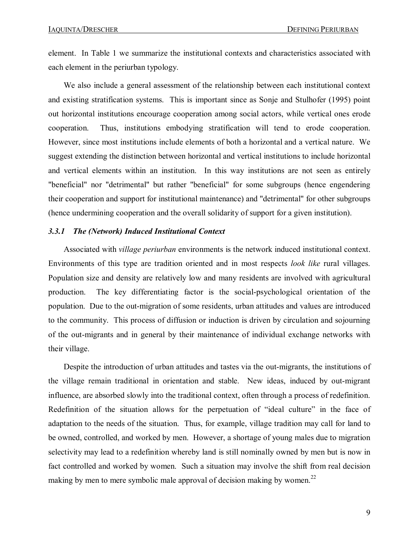element. In Table 1 we summarize the institutional contexts and characteristics associated with each element in the periurban typology.

We also include a general assessment of the relationship between each institutional context and existing stratification systems. This is important since as Sonje and Stulhofer (1995) point out horizontal institutions encourage cooperation among social actors, while vertical ones erode cooperation. Thus, institutions embodying stratification will tend to erode cooperation. However, since most institutions include elements of both a horizontal and a vertical nature. We suggest extending the distinction between horizontal and vertical institutions to include horizontal and vertical elements within an institution. In this way institutions are not seen as entirely "beneficial" nor "detrimental" but rather "beneficial" for some subgroups (hence engendering their cooperation and support for institutional maintenance) and "detrimental" for other subgroups (hence undermining cooperation and the overall solidarity of support for a given institution).

#### *3.3.1 The (Network) Induced Institutional Context*

Associated with *village periurban* environments is the network induced institutional context. Environments of this type are tradition oriented and in most respects *look like* rural villages. Population size and density are relatively low and many residents are involved with agricultural production. The key differentiating factor is the social-psychological orientation of the population. Due to the out-migration of some residents, urban attitudes and values are introduced to the community. This process of diffusion or induction is driven by circulation and sojourning of the out-migrants and in general by their maintenance of individual exchange networks with their village.

Despite the introduction of urban attitudes and tastes via the out-migrants, the institutions of the village remain traditional in orientation and stable. New ideas, induced by out-migrant influence, are absorbed slowly into the traditional context, often through a process of redefinition. Redefinition of the situation allows for the perpetuation of "ideal culture" in the face of adaptation to the needs of the situation. Thus, for example, village tradition may call for land to be owned, controlled, and worked by men. However, a shortage of young males due to migration selectivity may lead to a redefinition whereby land is still nominally owned by men but is now in fact controlled and worked by women. Such a situation may involve the shift from real decision making by men to mere symbolic male approval of decision making by women.<sup>22</sup>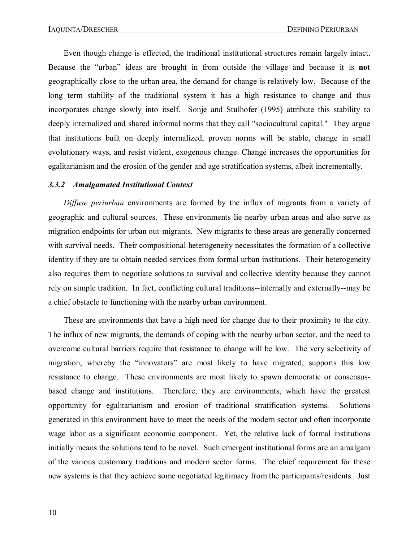Even though change is effected, the traditional institutional structures remain largely intact. Because the "urban" ideas are brought in from outside the village and because it is **not** geographically close to the urban area, the demand for change is relatively low. Because of the long term stability of the traditional system it has a high resistance to change and thus incorporates change slowly into itself. Sonje and Stulhofer (1995) attribute this stability to deeply internalized and shared informal norms that they call "sociocultural capital." They argue that institutions built on deeply internalized, proven norms will be stable, change in small evolutionary ways, and resist violent, exogenous change. Change increases the opportunities for egalitarianism and the erosion of the gender and age stratification systems, albeit incrementally.

#### *3.3.2 Amalgamated Institutional Context*

*Diffuse periurban* environments are formed by the influx of migrants from a variety of geographic and cultural sources. These environments lie nearby urban areas and also serve as migration endpoints for urban out-migrants. New migrants to these areas are generally concerned with survival needs. Their compositional heterogeneity necessitates the formation of a collective identity if they are to obtain needed services from formal urban institutions. Their heterogeneity also requires them to negotiate solutions to survival and collective identity because they cannot rely on simple tradition. In fact, conflicting cultural traditions--internally and externally--may be a chief obstacle to functioning with the nearby urban environment.

These are environments that have a high need for change due to their proximity to the city. The influx of new migrants, the demands of coping with the nearby urban sector, and the need to overcome cultural barriers require that resistance to change will be low. The very selectivity of migration, whereby the "innovators" are most likely to have migrated, supports this low resistance to change. These environments are most likely to spawn democratic or consensusbased change and institutions. Therefore, they are environments, which have the greatest opportunity for egalitarianism and erosion of traditional stratification systems. Solutions generated in this environment have to meet the needs of the modern sector and often incorporate wage labor as a significant economic component. Yet, the relative lack of formal institutions initially means the solutions tend to be novel. Such emergent institutional forms are an amalgam of the various customary traditions and modern sector forms. The chief requirement for these new systems is that they achieve some negotiated legitimacy from the participants/residents. Just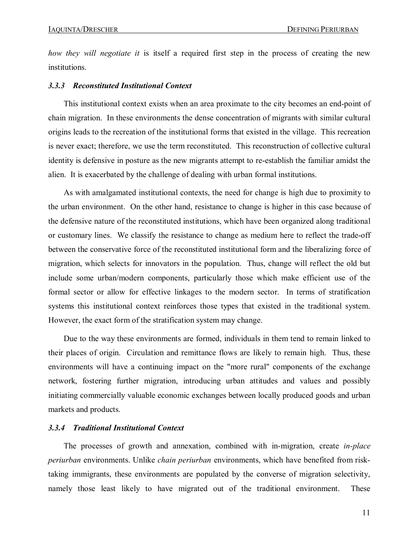*how they will negotiate it* is itself a required first step in the process of creating the new institutions.

#### *3.3.3 Reconstituted Institutional Context*

This institutional context exists when an area proximate to the city becomes an end-point of chain migration. In these environments the dense concentration of migrants with similar cultural origins leads to the recreation of the institutional forms that existed in the village. This recreation is never exact; therefore, we use the term reconstituted. This reconstruction of collective cultural identity is defensive in posture as the new migrants attempt to reestablish the familiar amidst the alien. It is exacerbated by the challenge of dealing with urban formal institutions.

As with amalgamated institutional contexts, the need for change is high due to proximity to the urban environment. On the other hand, resistance to change is higher in this case because of the defensive nature of the reconstituted institutions, which have been organized along traditional or customary lines. We classify the resistance to change as medium here to reflect the tradeoff between the conservative force of the reconstituted institutional form and the liberalizing force of migration, which selects for innovators in the population. Thus, change will reflect the old but include some urban/modern components, particularly those which make efficient use of the formal sector or allow for effective linkages to the modern sector. In terms of stratification systems this institutional context reinforces those types that existed in the traditional system. However, the exact form of the stratification system may change.

Due to the way these environments are formed, individuals in them tend to remain linked to their places of origin. Circulation and remittance flows are likely to remain high. Thus, these environments will have a continuing impact on the "more rural" components of the exchange network, fostering further migration, introducing urban attitudes and values and possibly initiating commercially valuable economic exchanges between locally produced goods and urban markets and products.

#### *3.3.4 Traditional Institutional Context*

The processes of growth and annexation, combined with in-migration, create *in-place periurban* environments. Unlike *chain periurban* environments, which have benefited from risktaking immigrants, these environments are populated by the converse of migration selectivity, namely those least likely to have migrated out of the traditional environment. These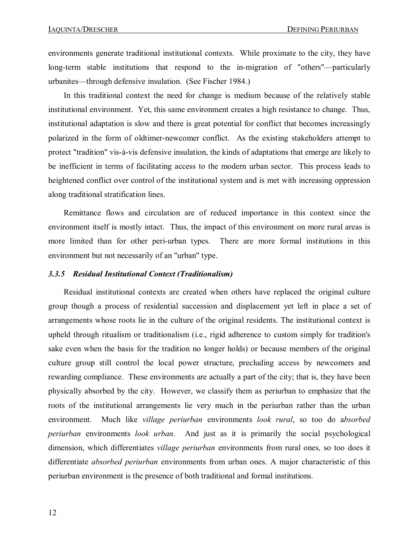environments generate traditional institutional contexts. While proximate to the city, they have long-term stable institutions that respond to the in-migration of "others"—particularly urbanites—through defensive insulation. (See Fischer 1984.)

In this traditional context the need for change is medium because of the relatively stable institutional environment. Yet, this same environment creates a high resistance to change. Thus, institutional adaptation is slow and there is great potential for conflict that becomes increasingly polarized in the form of oldtimer-newcomer conflict. As the existing stakeholders attempt to protect "tradition" vis-à-vis defensive insulation, the kinds of adaptations that emerge are likely to be inefficient in terms of facilitating access to the modern urban sector. This process leads to heightened conflict over control of the institutional system and is met with increasing oppression along traditional stratification lines.

Remittance flows and circulation are of reduced importance in this context since the environment itself is mostly intact. Thus, the impact of this environment on more rural areas is more limited than for other peri-urban types. There are more formal institutions in this environment but not necessarily of an "urban" type.

#### *3.3.5 Residual Institutional Context (Traditionalism)*

Residual institutional contexts are created when others have replaced the original culture group though a process of residential succession and displacement yet left in place a set of arrangements whose roots lie in the culture of the original residents. The institutional context is upheld through ritualism or traditionalism (i.e., rigid adherence to custom simply for tradition's sake even when the basis for the tradition no longer holds) or because members of the original culture group still control the local power structure, precluding access by newcomers and rewarding compliance. These environments are actually a part of the city; that is, they have been physically absorbed by the city. However, we classify them as periurban to emphasize that the roots of the institutional arrangements lie very much in the periurban rather than the urban environment. Much like *village periurban* environments *look rural*, so too do a*bsorbed periurban* environments *look urban*. And just as it is primarily the social psychological dimension, which differentiates *village periurban* environments from rural ones, so too does it differentiate *absorbed periurban* environments from urban ones. A major characteristic of this periurban environment is the presence of both traditional and formal institutions.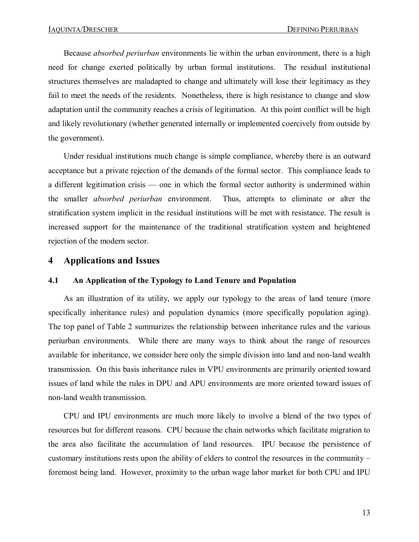Because *absorbed periurban* environments lie within the urban environment, there is a high need for change exerted politically by urban formal institutions. The residual institutional structures themselves are maladapted to change and ultimately will lose their legitimacy as they fail to meet the needs of the residents. Nonetheless, there is high resistance to change and slow adaptation until the community reaches a crisis of legitimation. At this point conflict will be high and likely revolutionary (whether generated internally or implemented coercively from outside by the government).

Under residual institutions much change is simple compliance, whereby there is an outward acceptance but a private rejection of the demands of the formal sector. This compliance leads to a different legitimation crisis — one in which the formal sector authority is undermined within the smaller *absorbed periurban* environment. Thus, attempts to eliminate or alter the stratification system implicit in the residual institutions will be met with resistance. The result is increased support for the maintenance of the traditional stratification system and heightened rejection of the modern sector.

## **4 Applications and Issues**

#### **4.1 An Application of the Typology to Land Tenure and Population**

As an illustration of its utility, we apply our typology to the areas of land tenure (more specifically inheritance rules) and population dynamics (more specifically population aging). The top panel of Table 2 summarizes the relationship between inheritance rules and the various periurban environments. While there are many ways to think about the range of resources available for inheritance, we consider here only the simple division into land and non-land wealth transmission. On this basis inheritance rules in VPU environments are primarily oriented toward issues of land while the rules in DPU and APU environments are more oriented toward issues of non-land wealth transmission.

CPU and IPU environments are much more likely to involve a blend of the two types of resources but for different reasons. CPU because the chain networks which facilitate migration to the area also facilitate the accumulation of land resources. IPU because the persistence of customary institutions rests upon the ability of elders to control the resources in the community – foremost being land. However, proximity to the urban wage labor market for both CPU and IPU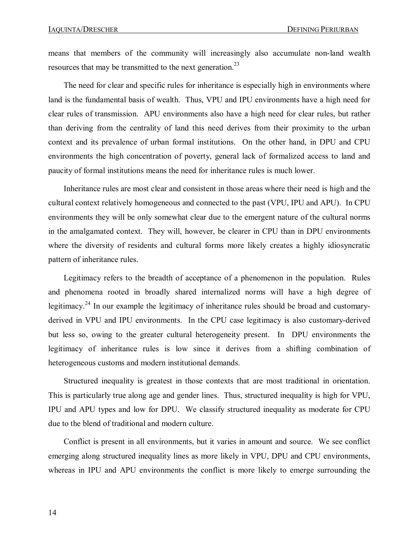means that members of the community will increasingly also accumulate non-land wealth resources that may be transmitted to the next generation.<sup>23</sup>

The need for clear and specific rules for inheritance is especially high in environments where land is the fundamental basis of wealth. Thus, VPU and IPU environments have a high need for clear rules of transmission. APU environments also have a high need for clear rules, but rather than deriving from the centrality of land this need derives from their proximity to the urban context and its prevalence of urban formal institutions. On the other hand, in DPU and CPU environments the high concentration of poverty, general lack of formalized access to land and paucity of formal institutions means the need for inheritance rules is much lower.

Inheritance rules are most clear and consistent in those areas where their need is high and the cultural context relatively homogeneous and connected to the past (VPU, IPU and APU). In CPU environments they will be only somewhat clear due to the emergent nature of the cultural norms in the amalgamated context. They will, however, be clearer in CPU than in DPU environments where the diversity of residents and cultural forms more likely creates a highly idiosyncratic pattern of inheritance rules.

Legitimacy refers to the breadth of acceptance of a phenomenon in the population. Rules and phenomena rooted in broadly shared internalized norms will have a high degree of legitimacy.<sup>24</sup> In our example the legitimacy of inheritance rules should be broad and customaryderived in VPU and IPU environments. In the CPU case legitimacy is also customary-derived but less so, owing to the greater cultural heterogeneity present. In DPU environments the legitimacy of inheritance rules is low since it derives from a shifting combination of heterogeneous customs and modern institutional demands.

Structured inequality is greatest in those contexts that are most traditional in orientation. This is particularly true along age and gender lines. Thus, structured inequality is high for VPU, IPU and APU types and low for DPU. We classify structured inequality as moderate for CPU due to the blend of traditional and modern culture.

Conflict is present in all environments, but it varies in amount and source. We see conflict emerging along structured inequality lines as more likely in VPU, DPU and CPU environments, whereas in IPU and APU environments the conflict is more likely to emerge surrounding the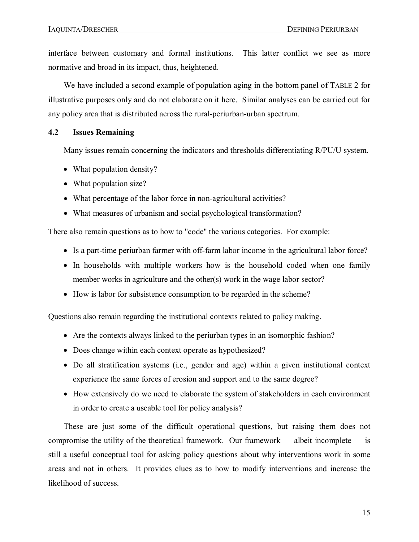interface between customary and formal institutions. This latter conflict we see as more normative and broad in its impact, thus, heightened.

We have included a second example of population aging in the bottom panel of TABLE 2 for illustrative purposes only and do not elaborate on ithere. Similar analyses can be carried out for any policy area that is distributed across the rural-periurban-urban spectrum.

#### **4.2 Issues Remaining**

Many issues remain concerning the indicators and thresholds differentiating R/PU/U system.

- What population density?
- What population size?
- What percentage of the labor force in non-agricultural activities?
- · What measures of urbanism and social psychological transformation?

There also remain questions as to how to "code" the various categories. For example:

- Is a part-time periurban farmer with off-farm labor income in the agricultural labor force?
- In households with multiple workers how is the household coded when one family member works in agriculture and the other(s) work in the wage labor sector?
- How is labor for subsistence consumption to be regarded in the scheme?

Questions also remain regarding the institutional contexts related to policy making.

- Are the contexts always linked to the periurban types in an isomorphic fashion?
- · Does change within each context operate as hypothesized?
- Do all stratification systems (i.e., gender and age) within a given institutional context experience the same forces of erosion and support and to the same degree?
- · How extensively do we need to elaborate the system of stakeholders in each environment in order to create a useable tool for policy analysis?

These are just some of the difficult operational questions, but raising them does not compromise the utility of the theoretical framework. Our framework — albeit incomplete — is still a useful conceptual tool for asking policy questions about why interventions work in some areas and not in others. It provides clues as to how to modify interventions and increase the likelihood of success.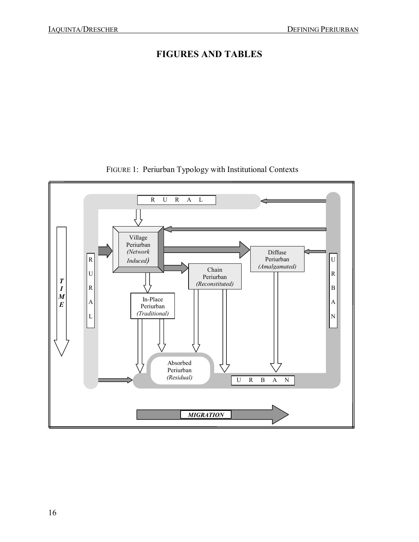## **FIGURES AND TABLES**



## FIGURE 1: Periurban Typology with Institutional Contexts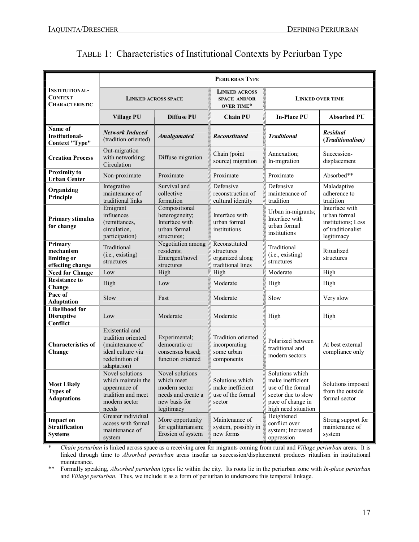|                                                                  | PERIURBAN TYPE                                                                                                  |                                                                                                     |                                                                     |                                                                                                                            |                                                                                         |  |
|------------------------------------------------------------------|-----------------------------------------------------------------------------------------------------------------|-----------------------------------------------------------------------------------------------------|---------------------------------------------------------------------|----------------------------------------------------------------------------------------------------------------------------|-----------------------------------------------------------------------------------------|--|
| <b>INSTITUTIONAL-</b><br><b>CONTEXT</b><br><b>CHARACTERISTIC</b> | <b>LINKED ACROSS SPACE</b>                                                                                      |                                                                                                     | <b>LINKED ACROSS</b><br><b>SPACE AND/OR</b><br><b>OVER TIME*</b>    | <b>LINKED OVER TIME</b>                                                                                                    |                                                                                         |  |
|                                                                  | <b>Village PU</b>                                                                                               | <b>Diffuse PU</b>                                                                                   | <b>Chain PU</b>                                                     | <b>In-Place PU</b>                                                                                                         | <b>Absorbed PU</b>                                                                      |  |
| Name of<br><b>Institutional-</b><br><b>Context "Type"</b>        | <b>Network Induced</b><br>(tradition oriented)                                                                  | <b>Amalgamated</b>                                                                                  | <b>Reconstituted</b>                                                | <b>Traditional</b>                                                                                                         | Residual<br>(Traditionalism)                                                            |  |
| <b>Creation Process</b>                                          | Out-migration<br>with networking;<br>Circulation                                                                | Diffuse migration                                                                                   | Chain (point)<br>source) migration                                  | Annexation;<br>In-migration                                                                                                | Succession-<br>displacement                                                             |  |
| <b>Proximity to</b><br><b>Urban Center</b>                       | Non-proximate                                                                                                   | Proximate                                                                                           | Proximate                                                           | Proximate                                                                                                                  | Absorbed**                                                                              |  |
| Organizing<br>Principle                                          | Integrative<br>maintenance of<br>traditional links                                                              | Survival and<br>collective<br>formation                                                             | Defensive<br>reconstruction of<br>cultural identity                 | Defensive<br>maintenance of<br>tradition                                                                                   | Maladaptive<br>adherence to<br>tradition                                                |  |
| <b>Primary stimulus</b><br>for change                            | Emigrant<br>influences<br>(remittances,<br>circulation,<br>participation)                                       | Compositional<br>heterogeneity;<br>Interface with<br>urban formal<br>structures;                    | Interface with<br>urban formal<br>institutions                      | Urban in-migrants;<br>Interface with<br>urban formal<br>institutions                                                       | Interface with<br>urban formal<br>institutions; Loss<br>of traditionalist<br>legitimacy |  |
| Primary<br>mechanism<br>limiting or<br>effecting change          | Traditional<br>(i.e., existing)<br>structures                                                                   | Negotiation among<br>residents;<br>Emergent/novel<br>structures                                     | Reconstituted<br>structures<br>organized along<br>traditional lines | Traditional<br>(i.e., existing)<br>structures                                                                              | Ritualized<br>structures                                                                |  |
| <b>Need for Change</b>                                           | Low                                                                                                             | High                                                                                                | High                                                                | Moderate                                                                                                                   | High                                                                                    |  |
| <b>Resistance to</b><br>Change                                   | High                                                                                                            | Low                                                                                                 | Moderate                                                            | High                                                                                                                       | High                                                                                    |  |
| Pace of<br><b>Adaptation</b>                                     | Slow                                                                                                            | Fast                                                                                                | Moderate                                                            | Slow                                                                                                                       | Very slow                                                                               |  |
| <b>Likelihood for</b><br><b>Disruptive</b><br>Conflict           | Low                                                                                                             | Moderate                                                                                            | Moderate                                                            | High                                                                                                                       | High                                                                                    |  |
| <b>Characteristics of</b><br>Change                              | Existential and<br>tradition oriented<br>(maintenance of<br>ideal culture via<br>redefinition of<br>adaptation) | Experimental;<br>democratic or<br>consensus based:<br>function oriented                             | Tradition oriented<br>incorporating<br>some urban<br>components     | Polarized between<br>traditional and<br>modern sectors                                                                     | At best external<br>compliance only                                                     |  |
| <b>Most Likely</b><br><b>Types of</b><br><b>Adaptations</b>      | Novel solutions<br>which maintain the<br>appearance of<br>tradition and meet<br>modern sector<br>needs          | Novel solutions<br>which meet<br>modern sector<br>needs and create a<br>new basis for<br>legitimacy | Solutions which<br>make inefficient<br>use of the formal<br>sector  | Solutions which<br>make inefficient<br>use of the formal<br>sector due to slow<br>pace of change in<br>high need situation | Solutions imposed<br>from the outside<br>formal sector                                  |  |
| <b>Impact on</b><br><b>Stratification</b><br><b>Systems</b>      | Greater individual<br>access with formal<br>maintenance of<br>system                                            | More opportunity<br>for egalitarianism;<br>Erosion of system                                        | Maintenance of<br>system, possibly in<br>new forms                  | Heightened<br>conflict over<br>system; Increased<br>oppression                                                             | Strong support for<br>maintenance of<br>system                                          |  |

\* *Chain periurban* is linked across space as a receiving area for migrants coming from rural and *Village periurban* areas. It is linked through time to *Absorbed periurban* areas insofar as succession/displacement produces ritualism in institutional maintenance.

\*\* Formally speaking, *Absorbed periurban* types lie within the city. Its roots lie in the periurban zone with *Inplace periurban* and *Village periurban*. Thus, we include it as a form of periurban to underscore this temporal linkage.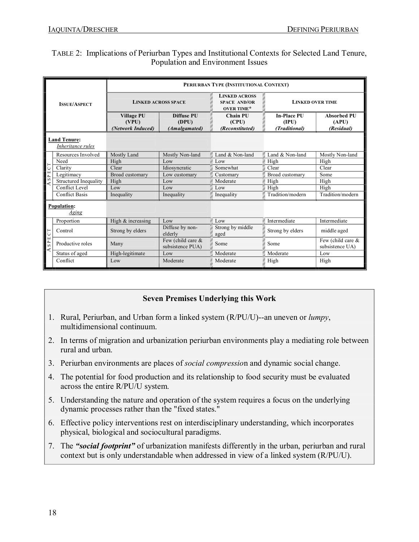### TABLE 2: Implications of Periurban Types and Institutional Contexts for Selected Land Tenure, Population and Environment Issues

| <b>ISSUE/ASPECT</b>                      |                              | PERIURBAN TYPE (INSTITUTIONAL CONTEXT)          |                                       |                                                                  |                                              |                                         |  |
|------------------------------------------|------------------------------|-------------------------------------------------|---------------------------------------|------------------------------------------------------------------|----------------------------------------------|-----------------------------------------|--|
|                                          |                              | <b>LINKED ACROSS SPACE</b>                      |                                       | <b>LINKED ACROSS</b><br><b>SPACE AND/OR</b><br><b>OVER TIME*</b> | <b>LINKED OVER TIME</b>                      |                                         |  |
|                                          |                              | <b>Village PU</b><br>(VPU)<br>(Network Induced) | Diffuse PU<br>(DPU)<br>(Amalgamated)  | Chain PU<br>(CPU)<br>(Reconstituted)                             | <b>In-Place PU</b><br>(IPU)<br>(Traditional) | Absorbed PU<br>(APU)<br>(Residual)      |  |
| <b>Land Tenure:</b><br>Inheritance rules |                              |                                                 |                                       |                                                                  |                                              |                                         |  |
|                                          | Resources Involved           | Mostly Land                                     | Mostly Non-land                       | Land & Non-land                                                  | Land & Non-land                              | Mostly Non-land                         |  |
| SPECT<br>∢                               | Need                         | High                                            | Low                                   | Low                                                              | High                                         | High                                    |  |
|                                          | Clarity                      | Clear                                           | Idiosyncratic                         | Somewhat                                                         | Clear                                        | Clear                                   |  |
|                                          | Legitimacy                   | Broad customary                                 | Low customary                         | Customary                                                        | Broad customary                              | Some                                    |  |
|                                          | <b>Structured Inequality</b> | High                                            | Low                                   | Moderate                                                         | High                                         | High                                    |  |
|                                          | Conflict Level               | Low                                             | Low                                   | Low                                                              | High                                         | High                                    |  |
|                                          | <b>Conflict Basis</b>        | Inequality                                      | Inequality                            | Inequality                                                       | Tradition/modern                             | Tradition/modern                        |  |
| <b>Population:</b><br>Aging              |                              |                                                 |                                       |                                                                  |                                              |                                         |  |
|                                          | Proportion                   | High & increasing                               | Low                                   | Low                                                              | Intermediate                                 | Intermediate                            |  |
| SPECT<br>∢                               | Control                      | Strong by elders                                | Diffuse by non-<br>elderly            | Strong by middle<br>aged                                         | Strong by elders                             | middle aged                             |  |
|                                          | Productive roles             | Many                                            | Few (child care &<br>subsistence PUA) | Some                                                             | Some                                         | Few (child care $\&$<br>subsistence UA) |  |
|                                          | Status of aged               | High-legitimate                                 | Low                                   | Moderate                                                         | Moderate                                     | Low                                     |  |
|                                          | Conflict                     | Low                                             | Moderate                              | Moderate                                                         | High                                         | High                                    |  |

### **Seven Premises Underlying this Work**

- 1. Rural, Periurban, and Urban form a linked system (R/PU/U)--an uneven or *lumpy*, multidimensional continuum.
- 2. In terms of migration and urbanization periurban environments play a mediating role between rural and urban.
- 3. Periurban environments are places of *social compressio*n and dynamic social change.
- 4. The potential for food production and its relationship to food security must be evaluated across the entire R/PU/U system.
- 5. Understanding the nature and operation of the system requires a focus on the underlying dynamic processes rather than the "fixed states."
- 6. Effective policy interventions rest on interdisciplinary understanding, which incorporates physical, biological and sociocultural paradigms.
- 7. The *"social footprint"* of urbanization manifests differently in the urban, periurban and rural context but is only understandable when addressed in view of a linked system (R/PU/U).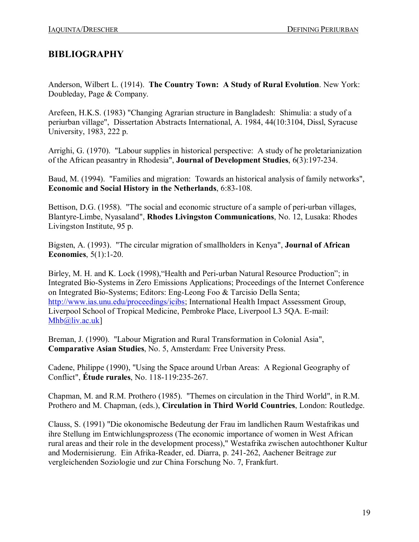## **BIBLIOGRAPHY**

Anderson, Wilbert L. (1914). **The Country Town: A Study of Rural Evolution**. New York: Doubleday, Page & Company.

Arefeen, H.K.S. (1983) "Changing Agrarian structure in Bangladesh: Shimulia: a study of a periurban village", Dissertation Abstracts International, A. 1984, 44(10:3104, Dissl, Syracuse University, 1983, 222 p.

Arrighi, G. (1970). "Labour supplies in historical perspective: A study of he proletarianization of the African peasantry in Rhodesia", **Journal of Development Studies**, 6(3):197234.

Baud, M. (1994). "Families and migration: Towards an historical analysis of family networks", **Economic and Social History in the Netherlands**, 6:83-108.

Bettison, D.G. (1958). "The social and economic structure of a sample of peri-urban villages, BlantyreLimbe, Nyasaland", **Rhodes Livingston Communications**, No. 12, Lusaka: Rhodes Livingston Institute, 95 p.

Bigsten, A. (1993). "The circular migration of smallholders in Kenya", **Journal of African Economies**, 5(1):1-20.

Birley, M. H. and K. Lock (1998), "Health and Peri-urban Natural Resource Production"; in Integrated Bio-Systems in Zero Emissions Applications; Proceedings of the Internet Conference on Integrated Bio-Systems; Editors: Eng-Leong Foo & Tarcisio Della Senta; <http://www.ias.unu.edu/proceedings/icibs>; International Health Impact Assessment Group, Liverpool School of Tropical Medicine, Pembroke Place, Liverpool L3 5QA. E-mail: [Mhb@liv.ac.uk\]](mailto:Mhb@liv.ac.uk)

Breman, J. (1990). "Labour Migration and Rural Transformation in Colonial Asia", **Comparative Asian Studies**, No. 5, Amsterdam: Free University Press.

Cadene, Philippe (1990), "Using the Space around Urban Areas: A Regional Geography of Conflict", **Étude rurales**, No. 118-119:235-267.

Chapman, M. and R.M. Prothero (1985). "Themes on circulation in the Third World", in R.M. Prothero and M. Chapman, (eds.), **Circulation in Third World Countries**, London: Routledge.

Clauss, S. (1991) "Die okonomische Bedeutung der Frau im landlichen Raum Westafrikas und ihre Stellung im Entwichlungsprozess (The economic importance of women in West African rural areas and their role in the development process)," Westafrika zwischen autochthoner Kultur and Modernisierung. Ein Afrika-Reader, ed. Diarra, p. 241-262, Aachener Beitrage zur vergleichenden Soziologie und zur China Forschung No. 7, Frankfurt.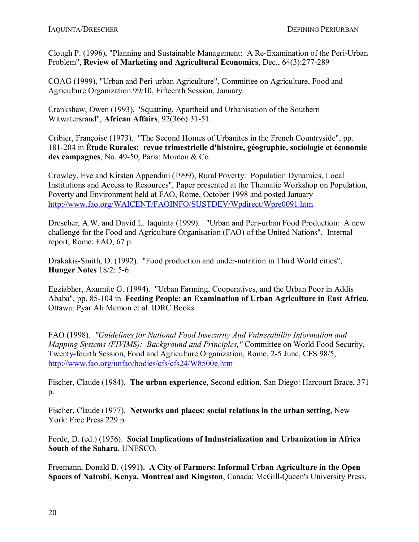Clough P. (1996), "Planning and Sustainable Management: A Re-Examination of the Peri-Urban Problem", Review of Marketing and Agricultural Economics, Dec., 64(3):277-289

COAG (1999), "Urban and Peri-urban Agriculture", Committee on Agriculture, Food and Agriculture Organization.99/10, Fifteenth Session, January.

Crankshaw, Owen (1993), "Squatting, Apartheid and Urbanisation of the Southern Witwatersrand", African Affairs, 92(366):31-51.

Cribier, Françoise (1973). "The Second Homes of Urbanites in the French Countryside", pp. 181204 in **Étude Rurales: revue trimestrielle d'histoire, géographie, sociologie et économie**  des campagnes, No. 49-50, Paris: Mouton & Co.

Crowley, Eve and Kirsten Appendini (1999), Rural Poverty: Population Dynamics, Local Institutions and Access to Resources", Paper presented at the Thematic Workshop on Population, Poverty and Environment held at FAO, Rome, October 1998 and posted January <http://www.fao.org/WAICENT/FAOINFO/SUSTDEV/Wpdirect/Wpre0091.htm>

Drescher, A.W. and David L. Iaquinta (1999). "Urban and Peri-urban Food Production: A new challenge for the Food and Agriculture Organisation (FAO) of the United Nations", Internal report, Rome: FAO, 67 p.

Drakakis-Smith, D. (1992). "Food production and under-nutrition in Third World cities", **Hunger Notes** 18/2: 5-6.

Egziabher, Axumite G. (1994). "Urban Farming, Cooperatives, and the Urban Poor in Addis Ababa", pp. 85104 in **Feeding People: an Examination of Urban Agriculture in East Africa**, Ottawa: Pyar Ali Memon et al. IDRC Books.

FAO (1998). *"Guidelines for National Food Insecurity And Vulnerability Information and Mapping Systems (FIVIMS): Background and Principles,"* Committee on World Food Security, Twenty-fourth Session, Food and Agriculture Organization, Rome, 2-5 June, CFS 98/5, <http://www.fao.org/unfao/bodies/cfs/cfs24/W8500e.htm>

Fischer, Claude (1984). **The urban experience**, Second edition. San Diego: Harcourt Brace, 371 p.

Fischer, Claude (1977). **Networks and places: social relations in the urban setting**, New York: Free Press 229 p.

Forde, D. (ed.) (1956). **Social Implications of Industrialization and Urbanization in Africa South of the Sahara**, UNESCO.

Freemann, Donald B. (1991**). A City of Farmers: Informal Urban Agriculture in the Open Spaces of Nairobi, Kenya. Montreal and Kingston, Canada: McGill-Queen's University Press.**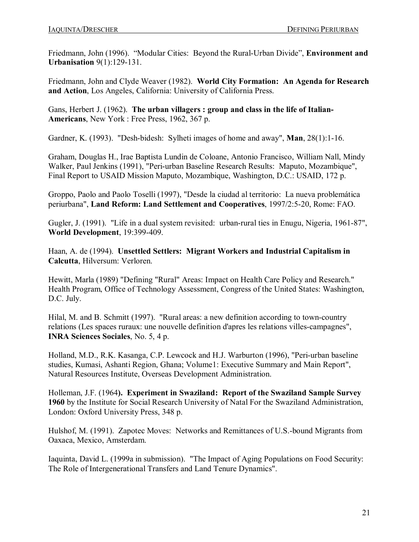Friedmann, John (1996). "Modular Cities: Beyond the Rural-Urban Divide", **Environment and Urbanisation** 9(1):129-131.

Friedmann, John and Clyde Weaver (1982). **World City Formation: An Agenda for Research and Action**, Los Angeles, California: University of California Press.

Gans, Herbert J. (1962). **The urban villagers : group and class in the life of Italian-Americans**, New York : Free Press, 1962, 367 p.

Gardner, K. (1993). "Desh-bidesh: Sylheti images of home and away", **Man**, 28(1):1-16.

Graham, Douglas H., Irae Baptista Lundin de Coloane, Antonio Francisco, William Nall, Mindy Walker, Paul Jenkins (1991), "Peri-urban Baseline Research Results: Maputo, Mozambique", Final Report to USAID Mission Maputo, Mozambique, Washington, D.C.: USAID, 172 p.

Groppo, Paolo and Paolo Toselli (1997), "Desde la ciudad al territorio: La nueva problemática **periurbana", Land Reform: Land Settlement and Cooperatives, 1997/2:5-20, Rome: FAO.** 

Gugler, J. (1991). "Life in a dual system revisited: urban-rural ties in Enugu, Nigeria, 1961-87", **World Development**, 19:399-409.

Haan, A. de (1994). **Unsettled Settlers: Migrant Workers and Industrial Capitalism in Calcutta**, Hilversum: Verloren.

Hewitt, Marla (1989) "Defining "Rural" Areas: Impact on Health Care Policy and Research." Health Program, Office of Technology Assessment, Congress of the United States: Washington, D.C. July.

Hilal, M. and B. Schmitt (1997). "Rural areas: a new definition according to town-country relations (Les spaces ruraux: une nouvelle definition d'apres les relations villes-campagnes", **INRA Sciences Sociales**, No. 5, 4 p.

Holland, M.D., R.K. Kasanga, C.P. Lewcock and H.J. Warburton (1996), "Peri-urban baseline studies, Kumasi, Ashanti Region, Ghana; Volume1: Executive Summary and Main Report", Natural Resources Institute, Overseas Development Administration.

Holleman, J.F. (1964**). Experiment in Swaziland: Report of the Swaziland Sample Survey 1960** by the Institute for Social Research University of Natal For the Swaziland Administration, London: Oxford University Press, 348 p.

Hulshof, M. (1991). Zapotec Moves: Networks and Remittances of U.S.-bound Migrants from Oaxaca, Mexico, Amsterdam.

Iaquinta, David L. (1999a in submission). "The Impact of Aging Populations on Food Security: The Role of Intergenerational Transfers and Land Tenure Dynamics".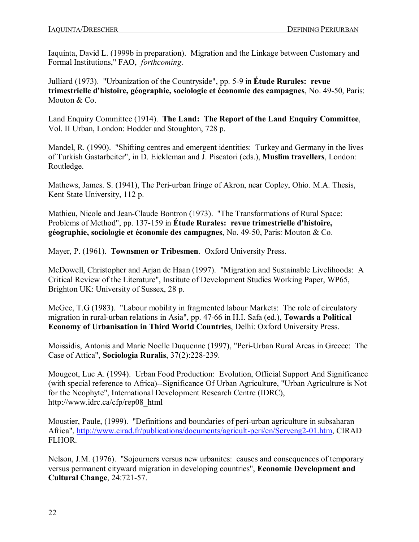Iaquinta, David L. (1999b in preparation). Migration and the Linkage between Customary and Formal Institutions," FAO, *forthcoming*.

Julliard (1973). "Urbanization of the Countryside", pp. 59 in **Étude Rurales: revue trimestrielle d'histoire, géographie, sociologie et économie des campagnes**, No. 49-50, Paris: Mouton & Co.

Land Enquiry Committee (1914). **The Land: The Report of the Land Enquiry Committee**, Vol. II Urban, London: Hodder and Stoughton, 728 p.

Mandel, R. (1990). "Shifting centres and emergent identities: Turkey and Germany in the lives of Turkish Gastarbeiter", in D. Eickleman and J. Piscatori (eds.), **Muslim travellers**, London: Routledge.

Mathews, James. S. (1941), The Peri-urban fringe of Akron, near Copley, Ohio. M.A. Thesis, Kent State University, 112 p.

Mathieu, Nicole and Jean-Claude Bontron (1973). "The Transformations of Rural Space: Problems of Method", pp. 137-159 in **Étude Rurales: revue trimestrielle d'histoire, géographie, sociologie et économie des campagnes**, No. 4950, Paris: Mouton & Co.Mayer, P. (1961). **Townsmen or Tribesmen**. Oxford University Press.

McDowell, Christopher and Arjan de Haan (1997). "Migration and Sustainable Livelihoods: A Critical Review of the Literature", Institute of Development Studies Working Paper, WP65, Brighton UK: University of Sussex, 28 p.

McGee, T.G (1983). "Labour mobility in fragmented labour Markets: The role of circulatory migration in rural-urban relations in Asia", pp. 47-66 in H.I. Safa (ed.), **Towards a Political Economy of Urbanisation in Third World Countries**, Delhi: Oxford University Press.

Moissidis, Antonis and Marie Noelle Duquenne (1997), "Peri-Urban Rural Areas in Greece: The Case of Attica", **Sociologia Ruralis**, 37(2):228-239.

Mougeot, Luc A. (1994). Urban Food Production: Evolution, Official Support And Significance (with special reference to Africa)--Significance Of Urban Agriculture, "Urban Agriculture is Not for the Neophyte", International Development Research Centre (IDRC), http://www.idrc.ca/cfp/rep08\_html

Moustier, Paule, (1999). "Definitions and boundaries of peri-urban agriculture in subsaharan Africa", http://www.cirad.fr/publications/documents/agricult-peri/en/Serveng2-01.htm, CIRAD FLHOR.

Nelson, J.M. (1976). "Sojourners versus new urbanites: causes and consequences of temporary versus permanent cityward migration in developing countries", **Economic Development and Cultural Change, 24:721-57.**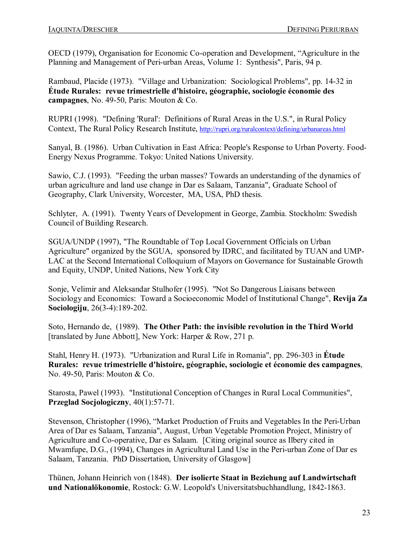OECD (1979), Organisation for Economic Co-operation and Development, "Agriculture in the Planning and Management of Peri-urban Areas, Volume 1: Synthesis", Paris, 94 p.

Rambaud, Placide (1973). "Village and Urbanization: Sociological Problems", pp. 1432 in **Étude Rurales: revue trimestrielle d'histoire, géographie, sociologie économie des** campagnes, No. 49-50, Paris: Mouton & Co.

RUPRI (1998). "Defining 'Rural': Definitions of Rural Areas in the U.S.", in Rural Policy Context, The Rural Policy Research Institute, <http://rupri.org/ruralcontext/defining/urbanareas.html>

Sanyal, B. (1986). Urban Cultivation in East Africa: People's Response to Urban Poverty. Food Energy Nexus Programme. Tokyo: United Nations University.

Sawio, C.J. (1993). "Feeding the urban masses? Towards an understanding of the dynamics of urban agriculture and land use change in Dar es Salaam, Tanzania", Graduate School of Geography, Clark University, Worcester, MA, USA, PhD thesis.

Schlyter, A. (1991). Twenty Years of Development in George, Zambia. Stockholm: Swedish Council of Building Research.

SGUA/UNDP (1997), "The Roundtable of Top Local Government Officials on Urban Agriculture" organized by the SGUA, sponsored by IDRC, and facilitated by TUAN and UMP-LAC at the Second International Colloquium of Mayors on Governance for Sustainable Growth and Equity, UNDP, United Nations, New York City

Sonje, Velimir and Aleksandar Stulhofer (1995). "Not So Dangerous Liaisans between Sociology and Economics: Toward a Socioeconomic Model of Institutional Change", **Revija Za Sociologiju**, 26(3-4):189-202.

Soto, Hernando de, (1989). **The Other Path: the invisible revolution in the Third World** [translated by June Abbott], New York: Harper & Row, 271 p.

Stahl, Henry H. (1973). "Urbanization and Rural Life in Romania", pp. 296-303 in **Étude Rurales: revue trimestrielle d'histoire, géographie, sociologie et économie des campagnes**, No. 49-50, Paris: Mouton & Co.

Starosta, Pawel (1993). "Institutional Conception of Changes in Rural Local Communities", **Przeglad Socjologiczny**, 40(1):57-71.

Stevenson, Christopher (1996), "Market Production of Fruits and Vegetables In the Peri-Urban Area of Dar es Salaam, Tanzania", August, Urban Vegetable Promotion Project, Ministry of Agriculture and Co-operative, Dar es Salaam. [Citing original source as Ilbery cited in Mwamfupe, D.G., (1994), Changes in Agricultural Land Use in the Peri-urban Zone of Dar es Salaam, Tanzania. PhD Dissertation, University of Glasgow]

Thünen, Johann Heinrich von (1848). **Der isolierte Staat in Beziehung auf Landwirtschaft und Nationalökonomie**, Rostock: G.W. Leopold's Universitatsbuchhandlung, 1842-1863.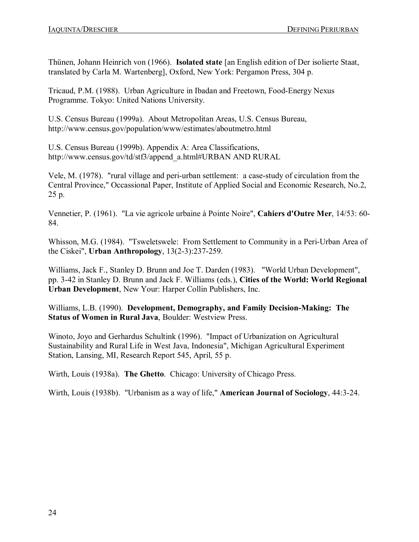Thünen, Johann Heinrich von (1966). **Isolated state** [an English edition of Der isolierte Staat, translated by Carla M. Wartenberg], Oxford, New York: Pergamon Press, 304 p.

Tricaud, P.M. (1988). Urban Agriculture in Ibadan and Freetown, Food-Energy Nexus Programme. Tokyo: United Nations University.

U.S. Census Bureau (1999a). About Metropolitan Areas, U.S. Census Bureau, http://www.census.gov/population/www/estimates/aboutmetro.html

U.S. Census Bureau (1999b). Appendix A: Area Classifications, http://www.census.gov/td/stf3/append\_a.html#URBAN AND RURAL

Vele, M. (1978). "rural village and peri-urban settlement: a case-study of circulation from the Central Province," Occassional Paper, Institute of Applied Social and Economic Research, No.2, 25 p.

Vennetier, P. (1961). "La vie agricole urbaine à Pointe Noire", **Cahiers d'Outre Mer**, 14/53: 60 84.

Whisson, M.G. (1984). "Tsweletswele: From Settlement to Community in a Peri-Urban Area of the Ciskei", **Urban Anthropology**,  $13(2-3):237-259$ .

Williams, Jack F., Stanley D. Brunn and Joe T. Darden (1983). "World Urban Development", pp. 342 in Stanley D. Brunn and Jack F. Williams (eds.), **Cities of the World: World Regional Urban Development**, New Your: Harper Collin Publishers, Inc.

Williams, L.B. (1990). Development, Demography, and Family Decision-Making: The **Status of Women in Rural Java**, Boulder: Westview Press.

Winoto, Joyo and Gerhardus Schultink (1996). "Impact of Urbanization on Agricultural Sustainability and Rural Life in West Java, Indonesia", Michigan Agricultural Experiment Station, Lansing, MI, Research Report 545, April, 55 p.

Wirth, Louis (1938a). **The Ghetto**. Chicago: University of Chicago Press.

Wirth, Louis (1938b). "Urbanism as a way of life," **American Journal of Sociology**, 44:3-24.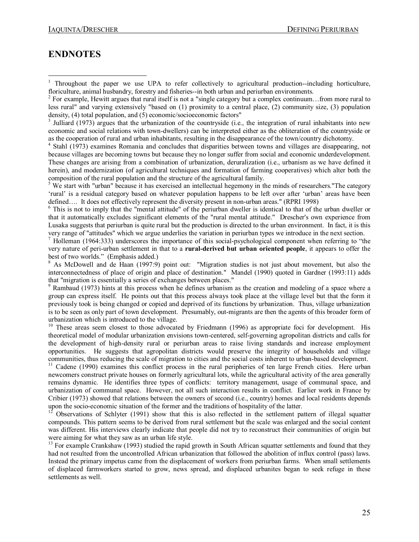## **ENDNOTES**

<sup>2</sup> For example. Hewitt argues that rural itself is not a "single category but a complex continuum…from more rural to less rural" and varying extensively "based on (1) proximity to a central place, (2) community size, (3) population density, (4) total population, and (5) economic/socioeconomic factors"

<sup>3</sup> Julliard (1973) argues that the urbanization of the countryside (i.e., the integration of rural inhabitants into new economic and social relations with towndwellers) can be interpreted either as the obliteration of the countryside or as the cooperation of rural and urban inhabitants, resulting in the disappearance of the town/country dichotomy. <sup>4</sup> Stahl (1973) examines Romania and concludes that disparities between towns and villages are disappearing, not

because villages are becoming towns but because they no longer suffer from social and economic underdevelopment. These changes are arising from a combination of urbanization, deruralization (i.e., urbanism as we have defined it herein), and modernization (of agricultural techniques and formation of farming cooperatives) which alter both the composition of the rural population and the structure of the agricultural family.

<sup>5</sup> We start with "urban" because it has exercised an intellectual hegemony in the minds of researchers. The category 'rural' is a residual category based on whatever population happens to be left over after 'urban' areas have been defined.... It does not effectively represent the diversity present in non-urban areas." (RPRI 1998)

<sup>6</sup> This is not to imply that the "mental attitude" of the periurban dweller is identical to that of the urban dweller or that it automatically excludes significant elements of the "rural mental attitude." Drescher's own experience from Lusaka suggests that periurban is quite rural but the production is directed to the urban environment. In fact, it is this

 $\frac{7}{1}$  Holleman (1964:333) underscores the importance of this social-psychological component when referring to "the very nature of peri-urban settlement in that to a **rural-derived but urban** oriented people, it appears to offer the best of two worlds." (Emphasis added.)

<sup>8</sup> As McDowell and de Haan (1997:9) point out: "Migration studies is not just about movement, but also the interconnectedness of place of origin and place of destination." Mandel (1990) quoted in Gardner (1993:11) adds that "migration is essentially a series of exchanges between places."

<sup>9</sup> Rambaud (1973) hints at this process when he defines urbanism as the creation and modeling of a space where a group can express itself. He points out that this process always took place at the village level but that the form it previously took is being changed or copied and deprived of its functions by urbanization. Thus, village urbanization is to be seen as only part of town development. Presumably, out-migrants are then the agents of this broader form of urbanization which is introduced to the village.

 $10$  These areas seem closest to those advocated by Friedmann (1996) as appropriate foci for development. His theoretical model of modular urbanization envisions town-centered, self-governing agropolitan districts and calls for the development of high-density rural or periurban areas to raise living standards and increase employment opportunities. He suggests that agropolitan districts would preserve the integrity of households and village

<sup>11</sup> Cadene (1990) examines this conflict process in the rural peripheries of ten large French cities. Here urban newcomers construct private houses on formerly agricultural lots, while the agricultural activity of the area generally remains dynamic. He identifies three types of conflicts: territory management, usage of communal space, and urbanization of communal space. However, not all such interaction results in conflict. Earlier work in France by Cribier (1973) showed that relations between the owners of second (i.e., country) homes and local residents depends

Observations of Schlyter (1991) show that this is also reflected in the settlement pattern of illegal squatter compounds. This pattern seems to be derived from rural settlement but the scale was enlarged and the social content was different. His interviews clearly indicate that people did not try to reconstruct their communities of origin but were aiming for what they saw as an urban life style.

<sup>13</sup> For example Crankshaw (1993) studied the rapid growth in South African squatter settlements and found that they had not resulted from the uncontrolled African urbanization that followed the abolition of influx control (pass) laws. Instead the primary impetus came from the displacement of workers from periurban farms. When small settlements of displaced farmworkers started to grow, news spread, and displaced urbanites began to seek refuge in these settlements as well.

<sup>&</sup>lt;sup>1</sup> Throughout the paper we use UPA to refer collectively to agricultural production--including horticulture, floriculture, animal husbandry, forestry and fisheries--in both urban and periurban environments.